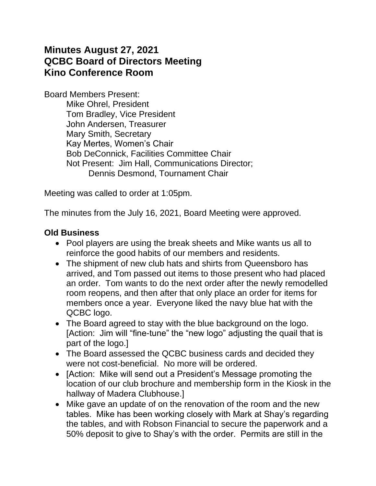# **Minutes August 27, 2021 QCBC Board of Directors Meeting Kino Conference Room**

Board Members Present: Mike Ohrel, President Tom Bradley, Vice President John Andersen, Treasurer Mary Smith, Secretary Kay Mertes, Women's Chair Bob DeConnick, Facilities Committee Chair Not Present: Jim Hall, Communications Director; Dennis Desmond, Tournament Chair

Meeting was called to order at 1:05pm.

The minutes from the July 16, 2021, Board Meeting were approved.

#### **Old Business**

- Pool players are using the break sheets and Mike wants us all to reinforce the good habits of our members and residents.
- The shipment of new club hats and shirts from Queensboro has arrived, and Tom passed out items to those present who had placed an order. Tom wants to do the next order after the newly remodelled room reopens, and then after that only place an order for items for members once a year. Everyone liked the navy blue hat with the QCBC logo.
- The Board agreed to stay with the blue background on the logo. [Action: Jim will "fine-tune" the "new logo" adjusting the quail that is part of the logo.]
- The Board assessed the QCBC business cards and decided they were not cost-beneficial. No more will be ordered.
- [Action: Mike will send out a President's Message promoting the location of our club brochure and membership form in the Kiosk in the hallway of Madera Clubhouse.]
- Mike gave an update of on the renovation of the room and the new tables. Mike has been working closely with Mark at Shay's regarding the tables, and with Robson Financial to secure the paperwork and a 50% deposit to give to Shay's with the order. Permits are still in the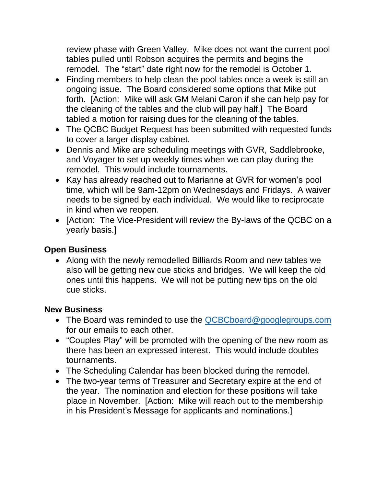review phase with Green Valley. Mike does not want the current pool tables pulled until Robson acquires the permits and begins the remodel. The "start" date right now for the remodel is October 1.

- Finding members to help clean the pool tables once a week is still an ongoing issue. The Board considered some options that Mike put forth. [Action: Mike will ask GM Melani Caron if she can help pay for the cleaning of the tables and the club will pay half.] The Board tabled a motion for raising dues for the cleaning of the tables.
- The QCBC Budget Request has been submitted with requested funds to cover a larger display cabinet.
- Dennis and Mike are scheduling meetings with GVR, Saddlebrooke, and Voyager to set up weekly times when we can play during the remodel. This would include tournaments.
- Kay has already reached out to Marianne at GVR for women's pool time, which will be 9am-12pm on Wednesdays and Fridays. A waiver needs to be signed by each individual. We would like to reciprocate in kind when we reopen.
- [Action: The Vice-President will review the By-laws of the QCBC on a yearly basis.]

### **Open Business**

• Along with the newly remodelled Billiards Room and new tables we also will be getting new cue sticks and bridges. We will keep the old ones until this happens. We will not be putting new tips on the old cue sticks.

# **New Business**

- The Board was reminded to use the **QCBCboard@googlegroups.com** for our emails to each other.
- "Couples Play" will be promoted with the opening of the new room as there has been an expressed interest. This would include doubles tournaments.
- The Scheduling Calendar has been blocked during the remodel.
- The two-year terms of Treasurer and Secretary expire at the end of the year. The nomination and election for these positions will take place in November. [Action: Mike will reach out to the membership in his President's Message for applicants and nominations.]